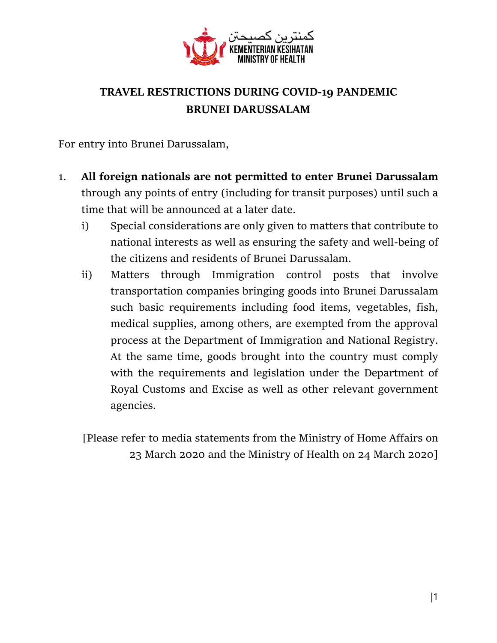

## **TRAVEL RESTRICTIONS DURING COVID-19 PANDEMIC BRUNEI DARUSSALAM**

For entry into Brunei Darussalam,

- 1. **All foreign nationals are not permitted to enter Brunei Darussalam** through any points of entry (including for transit purposes) until such a time that will be announced at a later date.
	- i) Special considerations are only given to matters that contribute to national interests as well as ensuring the safety and well-being of the citizens and residents of Brunei Darussalam.
	- ii) Matters through Immigration control posts that involve transportation companies bringing goods into Brunei Darussalam such basic requirements including food items, vegetables, fish, medical supplies, among others, are exempted from the approval process at the Department of Immigration and National Registry. At the same time, goods brought into the country must comply with the requirements and legislation under the Department of Royal Customs and Excise as well as other relevant government agencies.

[Please refer to media statements from the Ministry of Home Affairs on 23 March 2020 and the Ministry of Health on 24 March 2020]